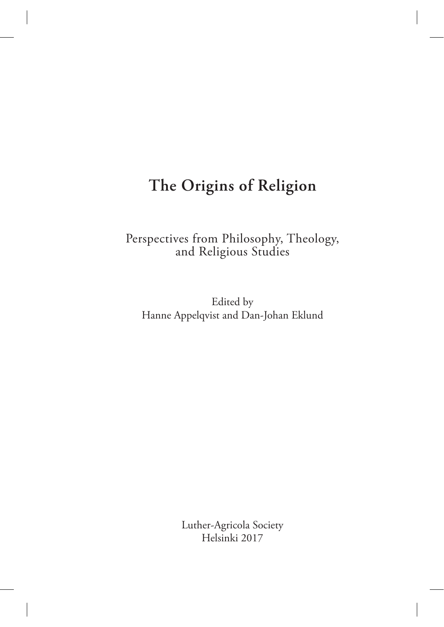## **The Origins of Religion**

Perspectives from Philosophy, Theology, and Religious Studies

Edited by Hanne Appelqvist and Dan-Johan Eklund

> Luther-Agricola Society Helsinki 2017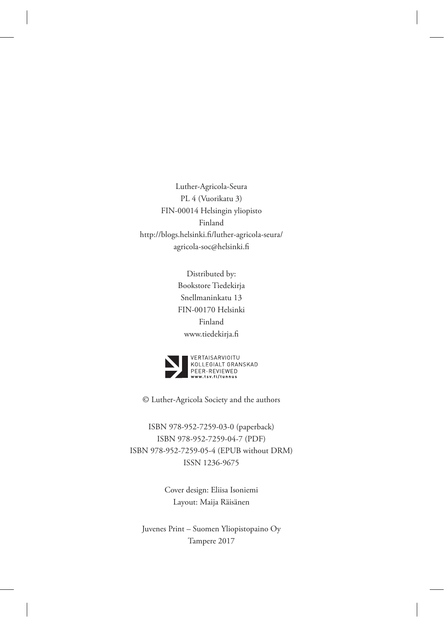Luther-Agricola-Seura PL 4 (Vuorikatu 3) FIN-00014 Helsingin yliopisto Finland http://blogs.helsinki.fi/luther-agricola-seura/ agricola-soc@helsinki.fi

> Distributed by: Bookstore Tiedekirja Snellmaninkatu 13 FIN-00170 Helsinki Finland www.tiedekirja.fi



© Luther-Agricola Society and the authors

ISBN 978-952-7259-03-0 (paperback) ISBN 978-952-7259-04-7 (PDF) ISBN 978-952-7259-05-4 (EPUB without DRM) ISSN 1236-9675

> Cover design: Eliisa Isoniemi Layout: Maija Räisänen

Juvenes Print – Suomen Yliopistopaino Oy Tampere 2017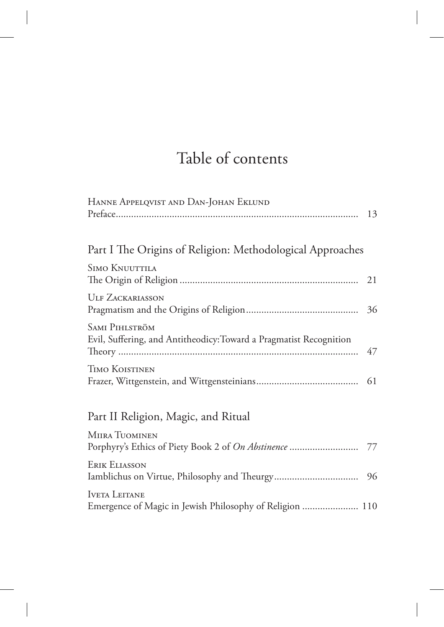# Table of contents

| HANNE APPELQVIST AND DAN-JOHAN EKLUND                                                       |    |
|---------------------------------------------------------------------------------------------|----|
|                                                                                             | 13 |
|                                                                                             |    |
| Part I The Origins of Religion: Methodological Approaches                                   |    |
| <b>SIMO KNUUTTILA</b>                                                                       | 21 |
| <b>ULF ZACKARIASSON</b>                                                                     | 36 |
| <b>SAMI PIHLSTRÖM</b><br>Evil, Suffering, and Antitheodicy: Toward a Pragmatist Recognition | 47 |
| <b>TIMO KOISTINEN</b>                                                                       | 61 |
| Part II Religion, Magic, and Ritual                                                         |    |
| <b>MIIRA TUOMINEN</b>                                                                       |    |
| <b>ERIK ELIASSON</b>                                                                        |    |
| <b>IVETA LEITANE</b><br>Emergence of Magic in Jewish Philosophy of Religion  110            |    |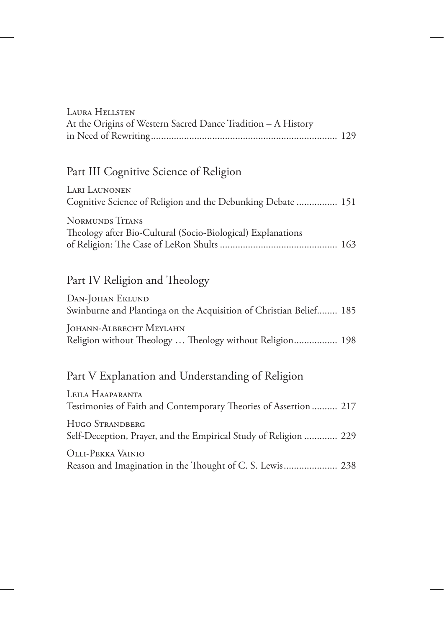| LAURA HELLSTEN                                               |  |
|--------------------------------------------------------------|--|
| At the Origins of Western Sacred Dance Tradition - A History |  |
|                                                              |  |

## Part III Cognitive Science of Religion

| LARI LAUNONEN                                               |  |
|-------------------------------------------------------------|--|
| Cognitive Science of Religion and the Debunking Debate  151 |  |
| <b>NORMUNDS TITANS</b>                                      |  |
| Theology after Bio-Cultural (Socio-Biological) Explanations |  |
|                                                             |  |

### Part IV Religion and Theology

| DAN-JOHAN EKLUND                                                   |  |
|--------------------------------------------------------------------|--|
| Swinburne and Plantinga on the Acquisition of Christian Belief 185 |  |
| JOHANN-ALBRECHT MEYLAHN                                            |  |
| Religion without Theology  Theology without Religion 198           |  |

### Part V Explanation and Understanding of Religion

| LEILA HAAPARANTA<br>Testimonies of Faith and Contemporary Theories of Assertion  217 |  |
|--------------------------------------------------------------------------------------|--|
| HUGO STRANDBERG<br>Self-Deception, Prayer, and the Empirical Study of Religion  229  |  |
| OLLI-PEKKA VAINIO<br>Reason and Imagination in the Thought of C. S. Lewis 238        |  |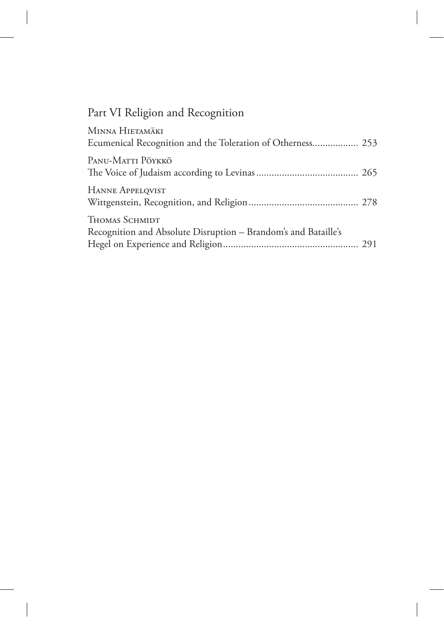## Part VI Religion and Recognition

| MINNA HIETAMÄKI<br>Ecumenical Recognition and the Toleration of Otherness 253    |  |
|----------------------------------------------------------------------------------|--|
| PANU-MATTI PÖYKKÖ                                                                |  |
| HANNE APPELQVIST                                                                 |  |
| THOMAS SCHMIDT<br>Recognition and Absolute Disruption - Brandom's and Bataille's |  |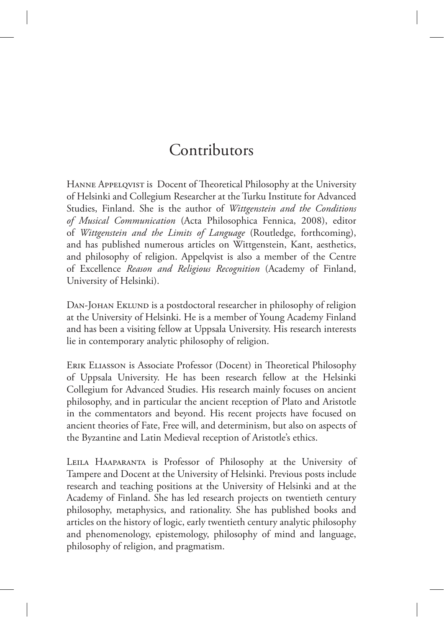## Contributors

HANNE APPELQVIST is Docent of Theoretical Philosophy at the University of Helsinki and Collegium Researcher at the Turku Institute for Advanced Studies, Finland. She is the author of *Wittgenstein and the Conditions of Musical Communication* (Acta Philosophica Fennica, 2008), editor of *Wittgenstein and the Limits of Language* (Routledge, forthcoming), and has published numerous articles on Wittgenstein, Kant, aesthetics, and philosophy of religion. Appelqvist is also a member of the Centre of Excellence *Reason and Religious Recognition* (Academy of Finland, University of Helsinki).

DAN-JOHAN EKLUND is a postdoctoral researcher in philosophy of religion at the University of Helsinki. He is a member of Young Academy Finland and has been a visiting fellow at Uppsala University. His research interests lie in contemporary analytic philosophy of religion.

Erik Eliasson is Associate Professor (Docent) in Theoretical Philosophy of Uppsala University. He has been research fellow at the Helsinki Collegium for Advanced Studies. His research mainly focuses on ancient philosophy, and in particular the ancient reception of Plato and Aristotle in the commentators and beyond. His recent projects have focused on ancient theories of Fate, Free will, and determinism, but also on aspects of the Byzantine and Latin Medieval reception of Aristotle's ethics.

Leila Haaparanta is Professor of Philosophy at the University of Tampere and Docent at the University of Helsinki. Previous posts include research and teaching positions at the University of Helsinki and at the Academy of Finland. She has led research projects on twentieth century philosophy, metaphysics, and rationality. She has published books and articles on the history of logic, early twentieth century analytic philosophy and phenomenology, epistemology, philosophy of mind and language, philosophy of religion, and pragmatism.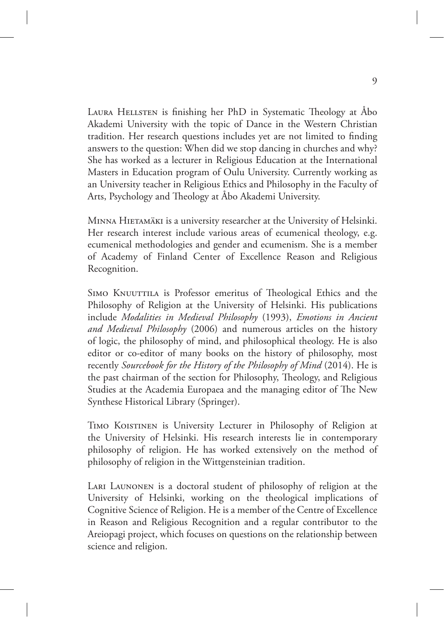LAURA HELLSTEN is finishing her PhD in Systematic Theology at Åbo Akademi University with the topic of Dance in the Western Christian tradition. Her research questions includes yet are not limited to finding answers to the question: When did we stop dancing in churches and why? She has worked as a lecturer in Religious Education at the International Masters in Education program of Oulu University. Currently working as an University teacher in Religious Ethics and Philosophy in the Faculty of Arts, Psychology and Theology at Åbo Akademi University.

Minna Hietamäki is a university researcher at the University of Helsinki. Her research interest include various areas of ecumenical theology, e.g. ecumenical methodologies and gender and ecumenism. She is a member of Academy of Finland Center of Excellence Reason and Religious Recognition.

SIMO KNUUTTILA is Professor emeritus of Theological Ethics and the Philosophy of Religion at the University of Helsinki. His publications include *Modalities in Medieval Philosophy* (1993), *Emotions in Ancient and Medieval Philosophy* (2006) and numerous articles on the history of logic, the philosophy of mind, and philosophical theology. He is also editor or co-editor of many books on the history of philosophy, most recently *Sourcebook for the History of the Philosophy of Mind* (2014). He is the past chairman of the section for Philosophy, Theology, and Religious Studies at the Academia Europaea and the managing editor of The New Synthese Historical Library (Springer).

Timo Koistinen is University Lecturer in Philosophy of Religion at the University of Helsinki. His research interests lie in contemporary philosophy of religion. He has worked extensively on the method of philosophy of religion in the Wittgensteinian tradition.

Lari Launonen is a doctoral student of philosophy of religion at the University of Helsinki, working on the theological implications of Cognitive Science of Religion. He is a member of the Centre of Excellence in Reason and Religious Recognition and a regular contributor to the Areiopagi project, which focuses on questions on the relationship between science and religion.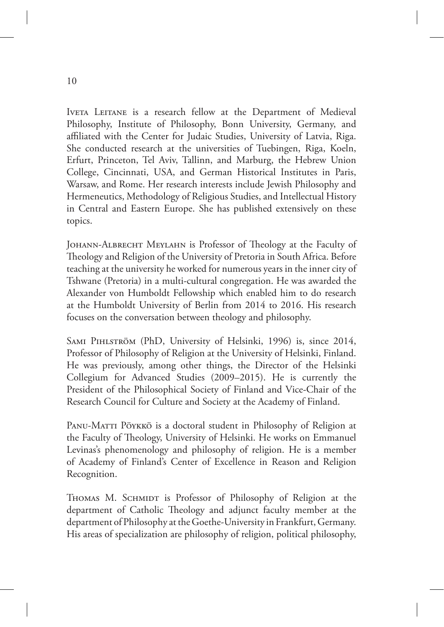IVETA LEITANE is a research fellow at the Department of Medieval Philosophy, Institute of Philosophy, Bonn University, Germany, and affiliated with the Center for Judaic Studies, University of Latvia, Riga. She conducted research at the universities of Tuebingen, Riga, Koeln, Erfurt, Princeton, Tel Aviv, Tallinn, and Marburg, the Hebrew Union College, Cincinnati, USA, and German Historical Institutes in Paris, Warsaw, and Rome. Her research interests include Jewish Philosophy and Hermeneutics, Methodology of Religious Studies, and Intellectual History in Central and Eastern Europe. She has published extensively on these topics.

Johann-Albrecht Meylahn is Professor of Theology at the Faculty of Theology and Religion of the University of Pretoria in South Africa. Before teaching at the university he worked for numerous years in the inner city of Tshwane (Pretoria) in a multi-cultural congregation. He was awarded the Alexander von Humboldt Fellowship which enabled him to do research at the Humboldt University of Berlin from 2014 to 2016. His research focuses on the conversation between theology and philosophy.

Sami Pihlström (PhD, University of Helsinki, 1996) is, since 2014, Professor of Philosophy of Religion at the University of Helsinki, Finland. He was previously, among other things, the Director of the Helsinki Collegium for Advanced Studies (2009–2015). He is currently the President of the Philosophical Society of Finland and Vice-Chair of the Research Council for Culture and Society at the Academy of Finland.

PANU-MATTI PÖYKKÖ is a doctoral student in Philosophy of Religion at the Faculty of Theology, University of Helsinki. He works on Emmanuel Levinas's phenomenology and philosophy of religion. He is a member of Academy of Finland's Center of Excellence in Reason and Religion Recognition.

THOMAS M. SCHMIDT is Professor of Philosophy of Religion at the department of Catholic Theology and adjunct faculty member at the department of Philosophy at the Goethe-University in Frankfurt, Germany. His areas of specialization are philosophy of religion, political philosophy,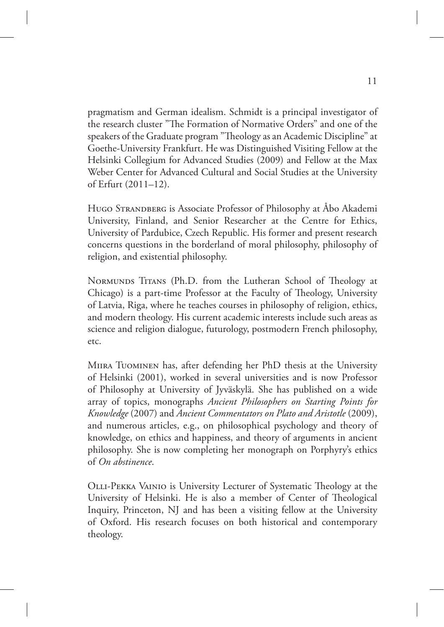pragmatism and German idealism. Schmidt is a principal investigator of the research cluster "The Formation of Normative Orders" and one of the speakers of the Graduate program "Theology as an Academic Discipline" at Goethe-University Frankfurt. He was Distinguished Visiting Fellow at the Helsinki Collegium for Advanced Studies (2009) and Fellow at the Max Weber Center for Advanced Cultural and Social Studies at the University of Erfurt (2011–12).

Hugo Strandberg is Associate Professor of Philosophy at Åbo Akademi University, Finland, and Senior Researcher at the Centre for Ethics, University of Pardubice, Czech Republic. His former and present research concerns questions in the borderland of moral philosophy, philosophy of religion, and existential philosophy.

NORMUNDS TITANS (Ph.D. from the Lutheran School of Theology at Chicago) is a part-time Professor at the Faculty of Theology, University of Latvia, Riga, where he teaches courses in philosophy of religion, ethics, and modern theology. His current academic interests include such areas as science and religion dialogue, futurology, postmodern French philosophy, etc.

MIIRA TUOMINEN has, after defending her PhD thesis at the University of Helsinki (2001), worked in several universities and is now Professor of Philosophy at University of Jyväskylä. She has published on a wide array of topics, monographs *Ancient Philosophers on Starting Points for Knowledge* (2007) and *Ancient Commentators on Plato and Aristotle* (2009), and numerous articles, e.g., on philosophical psychology and theory of knowledge, on ethics and happiness, and theory of arguments in ancient philosophy. She is now completing her monograph on Porphyry's ethics of *On abstinence*.

Olli-Pekka Vainio is University Lecturer of Systematic Theology at the University of Helsinki. He is also a member of Center of Theological Inquiry, Princeton, NJ and has been a visiting fellow at the University of Oxford. His research focuses on both historical and contemporary theology.